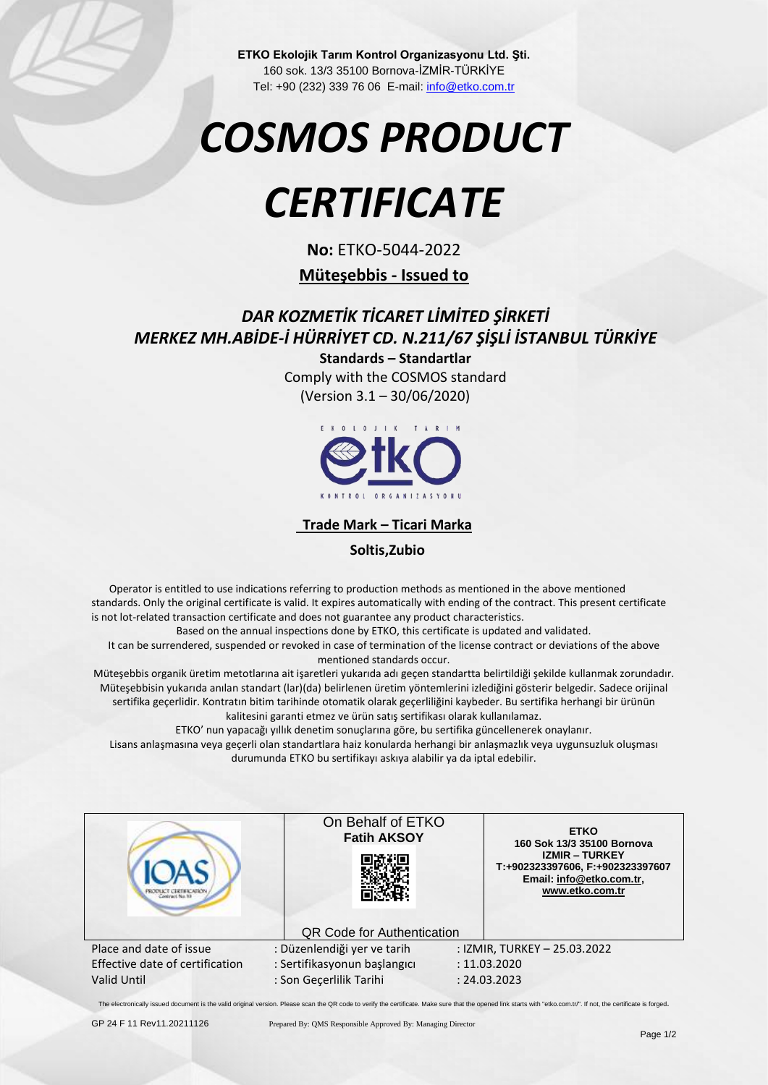**ETKO Ekolojik Tarım Kontrol Organizasyonu Ltd. Şti.** 160 sok. 13/3 35100 Bornova-İZMİR-TÜRKİYE Tel: +90 (232) 339 76 06 E-mail[: info@etko.com.tr](mailto:info@etko.org)

# *COSMOS PRODUCT*

## *CERTIFICATE*

**No:** ETKO-5044-2022

#### **Müteşebbis - Issued to**

### *DAR KOZMETİK TİCARET LİMİTED ŞİRKETİ MERKEZ MH.ABİDE-İ HÜRRİYET CD. N.211/67 ŞİŞLİ İSTANBUL TÜRKİYE*

**Standards – Standartlar** Comply with the COSMOS standard (Version 3.1 – 30/06/2020)



 **Trade Mark – Ticari Marka**

 **Soltis,Zubio**

 Operator is entitled to use indications referring to production methods as mentioned in the above mentioned standards. Only the original certificate is valid. It expires automatically with ending of the contract. This present certificate is not lot-related transaction certificate and does not guarantee any product characteristics.

Based on the annual inspections done by ETKO, this certificate is updated and validated.

It can be surrendered, suspended or revoked in case of termination of the license contract or deviations of the above mentioned standards occur.

Müteşebbis organik üretim metotlarına ait işaretleri yukarıda adı geçen standartta belirtildiği şekilde kullanmak zorundadır. Müteşebbisin yukarıda anılan standart (lar)(da) belirlenen üretim yöntemlerini izlediğini gösterir belgedir. Sadece orijinal sertifika geçerlidir. Kontratın bitim tarihinde otomatik olarak geçerliliğini kaybeder. Bu sertifika herhangi bir ürünün kalitesini garanti etmez ve ürün satış sertifikası olarak kullanılamaz.

ETKO' nun yapacağı yıllık denetim sonuçlarına göre, bu sertifika güncellenerek onaylanır.

Lisans anlaşmasına veya geçerli olan standartlara haiz konularda herhangi bir anlaşmazlık veya uygunsuzluk oluşması durumunda ETKO bu sertifikayı askıya alabilir ya da iptal edebilir.

|                                 | On Behalf of ETKO<br><b>Fatih AKSOY</b> | <b>ETKO</b><br>160 Sok 13/3 35100 Bornova<br><b>IZMIR - TURKEY</b><br>T:+902323397606, F:+902323397607<br>Email: info@etko.com.tr,<br>www.etko.com.tr |
|---------------------------------|-----------------------------------------|-------------------------------------------------------------------------------------------------------------------------------------------------------|
|                                 | <b>QR Code for Authentication</b>       |                                                                                                                                                       |
| Place and date of issue         | : Düzenlendiği yer ve tarih             | : IZMIR, TURKEY - 25.03.2022                                                                                                                          |
| Effective date of certification | : Sertifikasyonun başlangıcı            | : 11.03.2020                                                                                                                                          |
| <b>Valid Until</b>              | : Son Gecerlilik Tarihi                 | : 24.03.2023                                                                                                                                          |

The electronically issued document is the valid original version. Please scan the QR code to verify the certificate. Make sure that the opened link starts with "etko.com.tr/". If not, the certificate is forged.